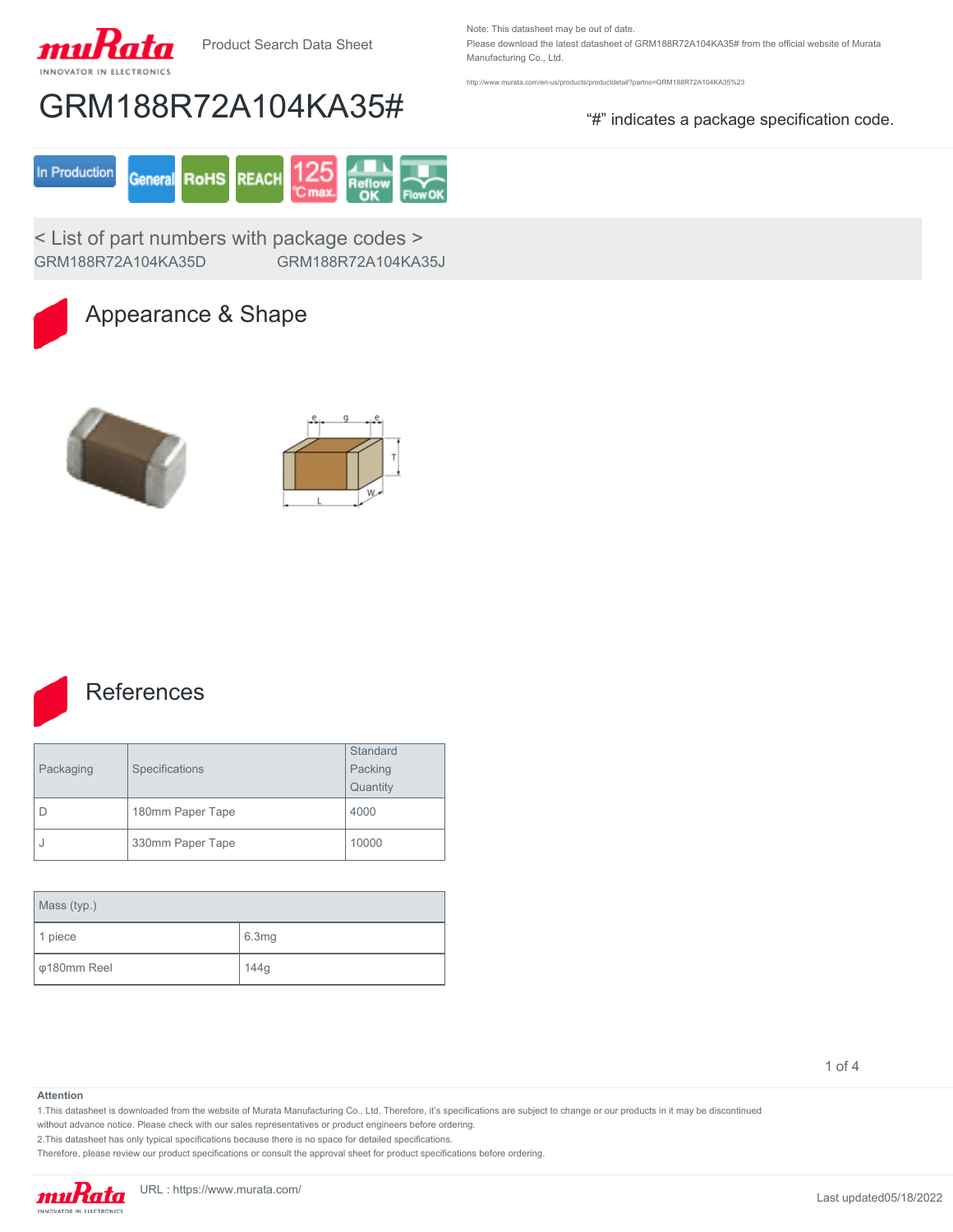

Product Search Data Sheet

Note: This datasheet may be out of date. Please download the latest datasheet of GRM188R72A104KA35# from the official website of Murata Manufacturing Co., Ltd.

<http://www.murata.com/en-us/products/productdetail?partno=GRM188R72A104KA35%23>

# GRM188R72A104KA35# "#" indicates a package specification code.



< List of part numbers with package codes > GRM188R72A104KA35D GRM188R72A104KA35J



### Appearance & Shape







### **References**

| Packaging | Specifications   | Standard |  |
|-----------|------------------|----------|--|
|           |                  | Packing  |  |
|           |                  | Quantity |  |
|           | 180mm Paper Tape | 4000     |  |
|           | 330mm Paper Tape | 10000    |  |

| Mass (typ.)                 |       |  |  |
|-----------------------------|-------|--|--|
| 1 piece                     | 6.3mg |  |  |
| $\sqrt{\varphi}$ 180mm Reel | 144g  |  |  |

1 of 4

#### **Attention**

1.This datasheet is downloaded from the website of Murata Manufacturing Co., Ltd. Therefore, it's specifications are subject to change or our products in it may be discontinued

without advance notice. Please check with our sales representatives or product engineers before ordering.

2.This datasheet has only typical specifications because there is no space for detailed specifications.

Therefore, please review our product specifications or consult the approval sheet for product specifications before ordering.

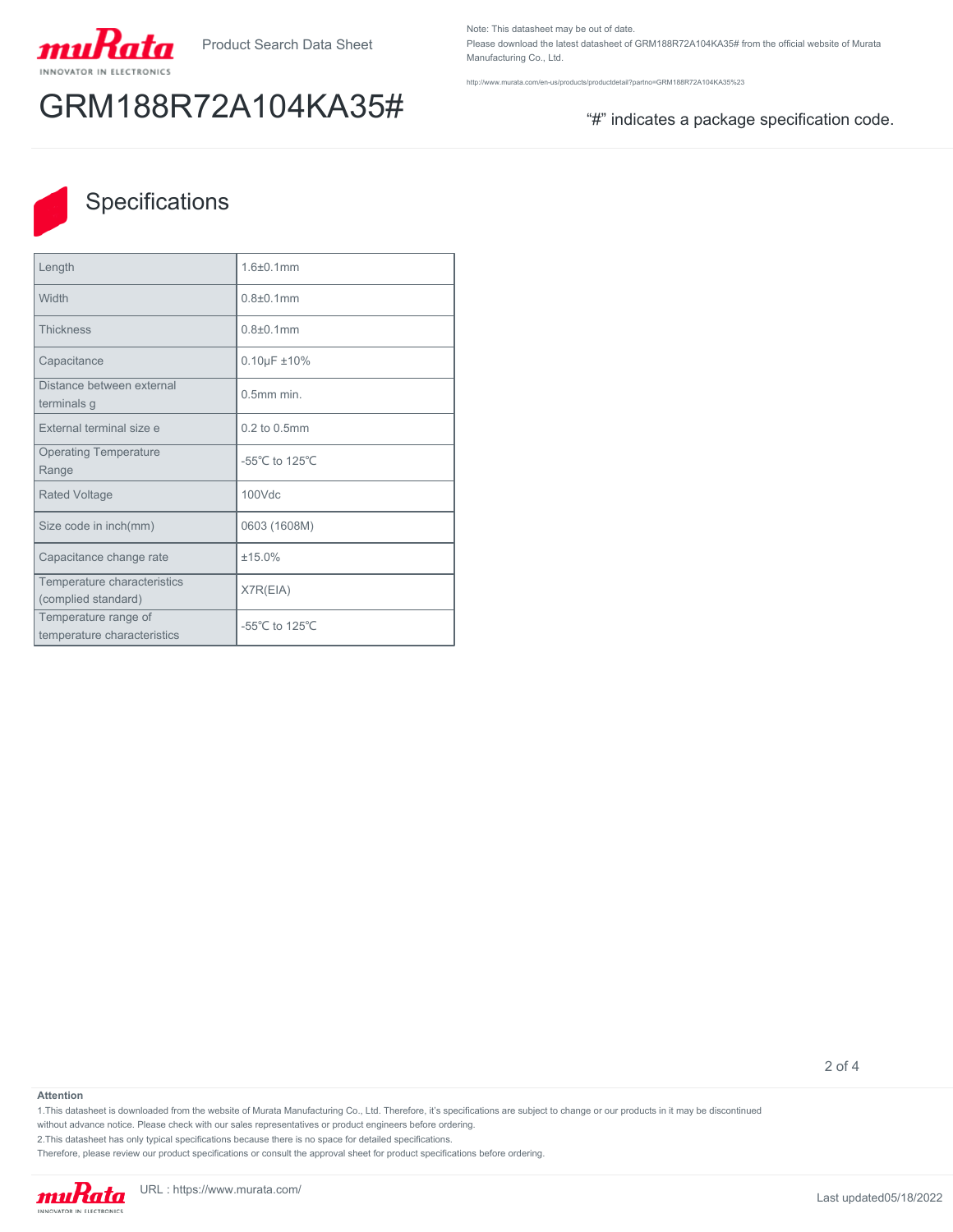

# GRM188R72A104KA35# "#" indicates a package specification code.

Note: This datasheet may be out of date. Please download the latest datasheet of GRM188R72A104KA35# from the official website of Murata Manufacturing Co., Ltd.

<http://www.murata.com/en-us/products/productdetail?partno=GRM188R72A104KA35%23>



## **Specifications**

| Length                                              | 1.6±0.1mm                            |
|-----------------------------------------------------|--------------------------------------|
| Width                                               | $0.8{\pm}0.1$ mm                     |
| <b>Thickness</b>                                    | $0.8{\pm}0.1$ mm                     |
| Capacitance                                         | $0.10 \mu F \pm 10\%$                |
| Distance between external<br>terminals g            | $0.5$ mm min.                        |
| External terminal size e                            | 0.2 to 0.5mm                         |
| <b>Operating Temperature</b><br>Range               | -55°C to 125°C                       |
| <b>Rated Voltage</b>                                | $100$ $Vdc$                          |
| Size code in inch(mm)                               | 0603 (1608M)                         |
| Capacitance change rate                             | ±15.0%                               |
| Temperature characteristics<br>(complied standard)  | X7R(EIA)                             |
| Temperature range of<br>temperature characteristics | -55 $^{\circ}$ C to 125 $^{\circ}$ C |

2 of 4

#### **Attention**

1.This datasheet is downloaded from the website of Murata Manufacturing Co., Ltd. Therefore, it's specifications are subject to change or our products in it may be discontinued

without advance notice. Please check with our sales representatives or product engineers before ordering.

2.This datasheet has only typical specifications because there is no space for detailed specifications.

Therefore, please review our product specifications or consult the approval sheet for product specifications before ordering.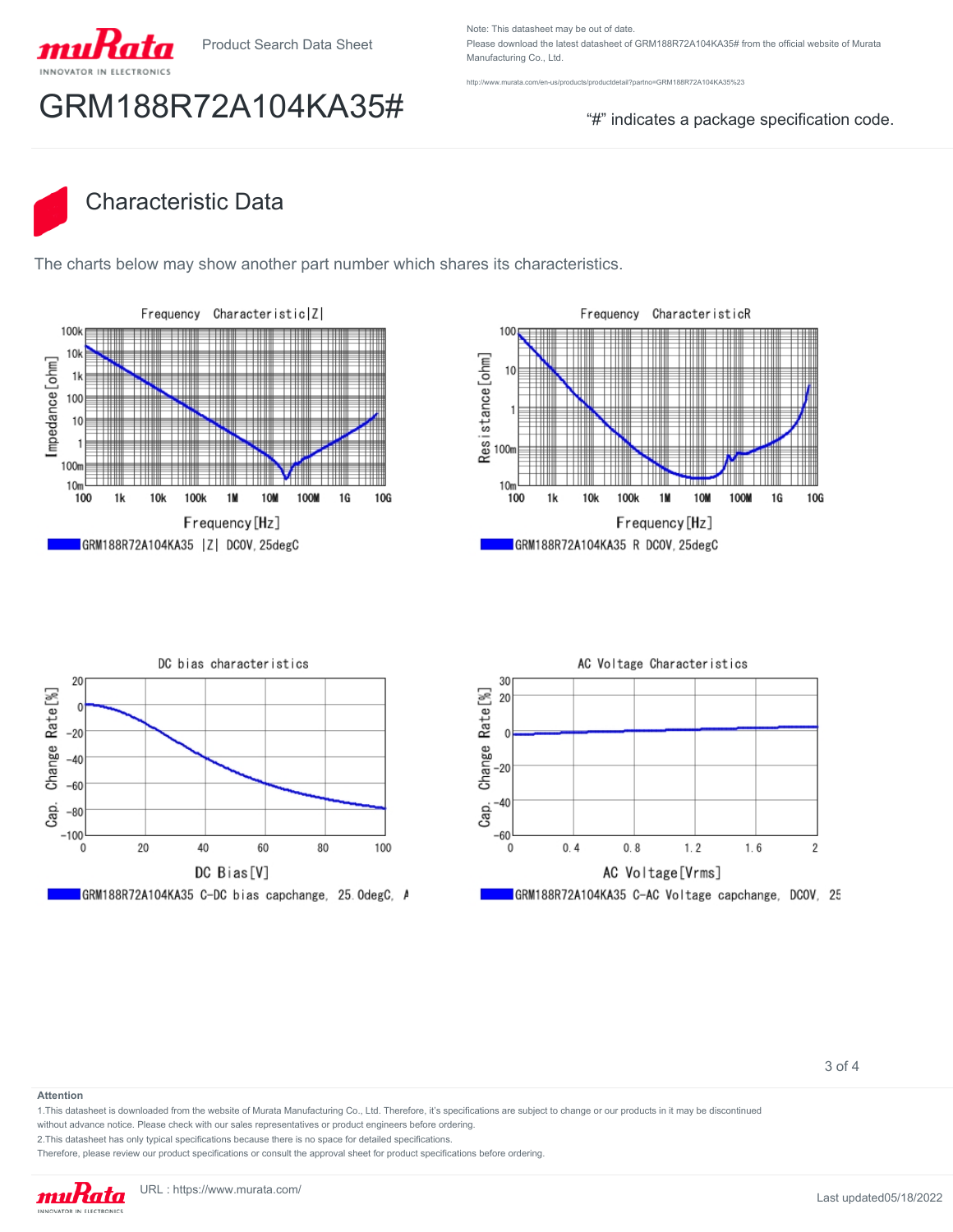

Product Search Data Sheet

Note: This datasheet may be out of date. Please download the latest datasheet of GRM188R72A104KA35# from the official website of Murata Manufacturing Co., Ltd.

w.murata.com/en-us/products/productdetail?partno=GRM188R72A104KA35%23

## GRM188R72A104KA35# "#" indicates a package specification code.

## Characteristic Data

The charts below may show another part number which shares its characteristics.









3 of 4

#### **Attention**

1.This datasheet is downloaded from the website of Murata Manufacturing Co., Ltd. Therefore, it's specifications are subject to change or our products in it may be discontinued

without advance notice. Please check with our sales representatives or product engineers before ordering.

2.This datasheet has only typical specifications because there is no space for detailed specifications.

Therefore, please review our product specifications or consult the approval sheet for product specifications before ordering.